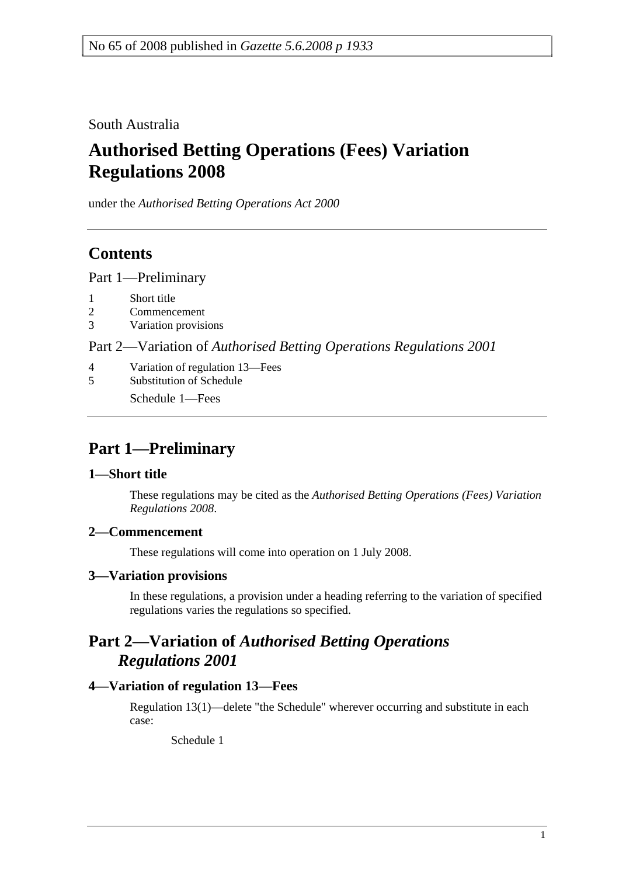South Australia

# **Authorised Betting Operations (Fees) Variation Regulations 2008**

under the *Authorised Betting Operations Act 2000*

## **Contents**

Part 1—Preliminary

- 1 Short title
- 2 Commencement
- 3 Variation provisions

Part 2—Variation of *Authorised Betting Operations Regulations 2001*

- 4 Variation of regulation 13—Fees
- 5 Substitution of Schedule

Schedule 1—Fees

## **Part 1—Preliminary**

## **1—Short title**

These regulations may be cited as the *Authorised Betting Operations (Fees) Variation Regulations 2008*.

## **2—Commencement**

These regulations will come into operation on 1 July 2008.

## **3—Variation provisions**

In these regulations, a provision under a heading referring to the variation of specified regulations varies the regulations so specified.

## **Part 2—Variation of** *Authorised Betting Operations Regulations 2001*

## **4—Variation of regulation 13—Fees**

Regulation 13(1)—delete "the Schedule" wherever occurring and substitute in each case:

Schedule 1